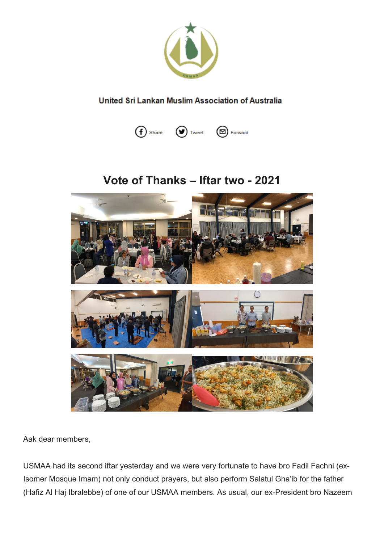

### United Sri Lankan Muslim Association of Australia



# **Vote of Thanks – Iftar two - 2021**



Aak dear members,

USMAA had its second iftar yesterday and we were very fortunate to have bro Fadil Fachni (ex-Isomer Mosque Imam) not only conduct prayers, but also perform Salatul Gha'ib for the father (Hafiz Al Haj Ibralebbe) of one of our USMAA members. As usual, our ex-President bro Nazeem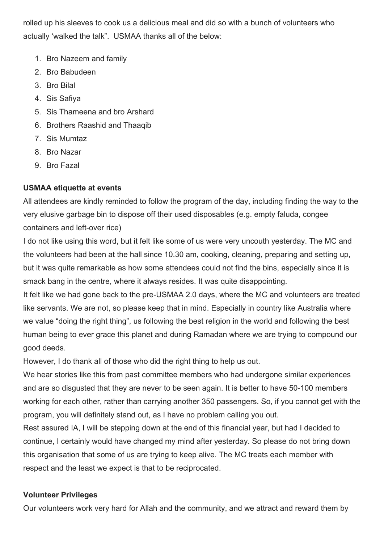rolled up his sleeves to cook us a delicious meal and did so with a bunch of volunteers who actually 'walked the talk". USMAA thanks all of the below:

- 1. Bro Nazeem and family
- 2. Bro Babudeen
- 3. Bro Bilal
- 4. Sis Safiya
- 5. Sis Thameena and bro Arshard
- 6. Brothers Raashid and Thaaqib
- 7. Sis Mumtaz
- 8. Bro Nazar
- 9. Bro Fazal

# **USMAA etiquette at events**

All attendees are kindly reminded to follow the program of the day, including finding the way to the very elusive garbage bin to dispose off their used disposables (e.g. empty faluda, congee containers and left-over rice)

I do not like using this word, but it felt like some of us were very uncouth yesterday. The MC and the volunteers had been at the hall since 10.30 am, cooking, cleaning, preparing and setting up, but it was quite remarkable as how some attendees could not find the bins, especially since it is smack bang in the centre, where it always resides. It was quite disappointing.

It felt like we had gone back to the pre-USMAA 2.0 days, where the MC and volunteers are treated like servants. We are not, so please keep that in mind. Especially in country like Australia where we value "doing the right thing", us following the best religion in the world and following the best human being to ever grace this planet and during Ramadan where we are trying to compound our good deeds.

However, I do thank all of those who did the right thing to help us out.

We hear stories like this from past committee members who had undergone similar experiences and are so disgusted that they are never to be seen again. It is better to have 50-100 members working for each other, rather than carrying another 350 passengers. So, if you cannot get with the program, you will definitely stand out, as I have no problem calling you out.

Rest assured IA, I will be stepping down at the end of this financial year, but had I decided to continue, I certainly would have changed my mind after yesterday. So please do not bring down this organisation that some of us are trying to keep alive. The MC treats each member with respect and the least we expect is that to be reciprocated.

## **Volunteer Privileges**

Our volunteers work very hard for Allah and the community, and we attract and reward them by